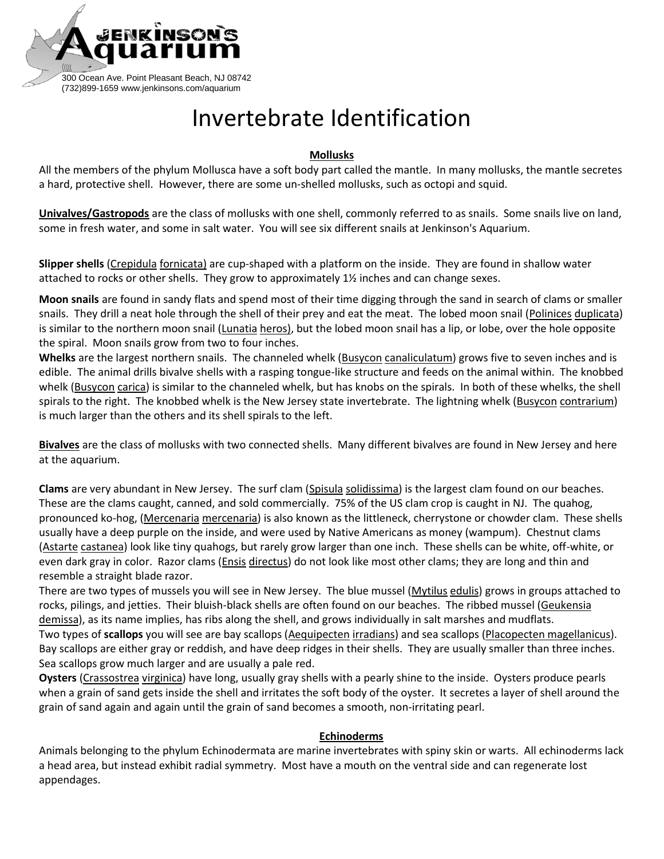

## Invertebrate Identification

## **Mollusks**

All the members of the phylum Mollusca have a soft body part called the mantle. In many mollusks, the mantle secretes a hard, protective shell. However, there are some un-shelled mollusks, such as octopi and squid.

**Univalves/Gastropods** are the class of mollusks with one shell, commonly referred to as snails. Some snails live on land, some in fresh water, and some in salt water. You will see six different snails at Jenkinson's Aquarium.

**Slipper shells** (Crepidula fornicata) are cup-shaped with a platform on the inside. They are found in shallow water attached to rocks or other shells. They grow to approximately 1½ inches and can change sexes.

**Moon snails** are found in sandy flats and spend most of their time digging through the sand in search of clams or smaller snails. They drill a neat hole through the shell of their prey and eat the meat. The lobed moon snail (Polinices duplicata) is similar to the northern moon snail (Lunatia heros), but the lobed moon snail has a lip, or lobe, over the hole opposite the spiral. Moon snails grow from two to four inches.

**Whelks** are the largest northern snails. The channeled whelk (Busycon canaliculatum) grows five to seven inches and is edible. The animal drills bivalve shells with a rasping tongue-like structure and feeds on the animal within. The knobbed whelk (Busycon carica) is similar to the channeled whelk, but has knobs on the spirals. In both of these whelks, the shell spirals to the right. The knobbed whelk is the New Jersey state invertebrate. The lightning whelk (Busycon contrarium) is much larger than the others and its shell spirals to the left.

**Bivalves** are the class of mollusks with two connected shells. Many different bivalves are found in New Jersey and here at the aquarium.

**Clams** are very abundant in New Jersey. The surf clam (Spisula solidissima) is the largest clam found on our beaches. These are the clams caught, canned, and sold commercially. 75% of the US clam crop is caught in NJ. The quahog, pronounced ko-hog, (Mercenaria mercenaria) is also known as the littleneck, cherrystone or chowder clam. These shells usually have a deep purple on the inside, and were used by Native Americans as money (wampum). Chestnut clams (Astarte castanea) look like tiny quahogs, but rarely grow larger than one inch. These shells can be white, off-white, or even dark gray in color. Razor clams (Ensis directus) do not look like most other clams; they are long and thin and resemble a straight blade razor.

There are two types of mussels you will see in New Jersey. The blue mussel (Mytilus edulis) grows in groups attached to rocks, pilings, and jetties. Their bluish-black shells are often found on our beaches. The ribbed mussel (Geukensia demissa), as its name implies, has ribs along the shell, and grows individually in salt marshes and mudflats. Two types of **scallops** you will see are bay scallops (Aequipecten irradians) and sea scallops (Placopecten magellanicus). Bay scallops are either gray or reddish, and have deep ridges in their shells. They are usually smaller than three inches. Sea scallops grow much larger and are usually a pale red.

**Oysters** (Crassostrea virginica) have long, usually gray shells with a pearly shine to the inside. Oysters produce pearls when a grain of sand gets inside the shell and irritates the soft body of the oyster. It secretes a layer of shell around the grain of sand again and again until the grain of sand becomes a smooth, non-irritating pearl.

## **Echinoderms**

Animals belonging to the phylum Echinodermata are marine invertebrates with spiny skin or warts. All echinoderms lack a head area, but instead exhibit radial symmetry. Most have a mouth on the ventral side and can regenerate lost appendages.